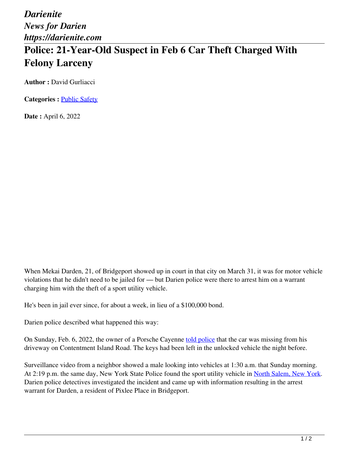*Darienite News for Darien https://darienite.com*

## **Police: 21-Year-Old Suspect in Feb 6 Car Theft Charged With Felony Larceny**

**Author : David Gurliacci** 

**Categories :** [Public Safety](https://darienite.com/category/news/police-fire)

**Date :** April 6, 2022

When Mekai Darden, 21, of Bridgeport showed up in court in that city on March 31, it was for motor vehicle violations that he didn't need to be jailed for — but Darien police were there to arrest him on a warrant charging him with the theft of a sport utility vehicle.

He's been in jail ever since, for about a week, in lieu of a \$100,000 bond.

Darien police described what happened this way:

On Sunday, Feb. 6, 2022, the owner of a Porsche Cayenne told police that the car was missing from his driveway on Contentment Island Road. The keys had been left in the unlocked vehicle the night before.

Surveillance video from a neighbor showed a male looking into vehicles at 1:30 a.m. that Sunday morning. At 2:19 p.m. the same day, New York State Police found the sport utility vehicle in North Salem, New York. Darien police detectives investigated the incident and came up with information resulting in the arrest warrant for Darden, a resident of Pixlee Place in Bridgeport.